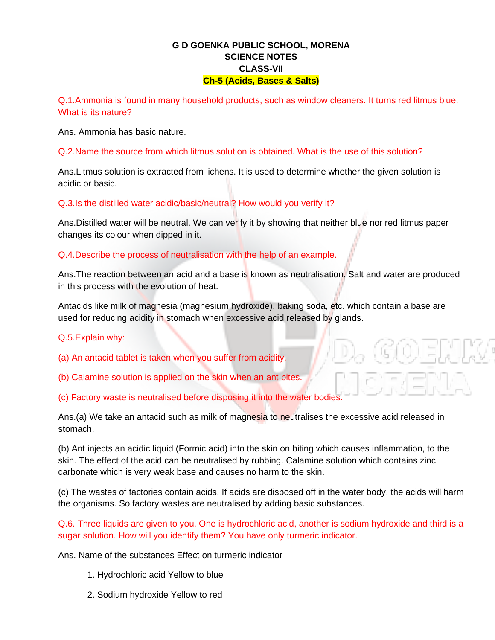### **G D GOENKA PUBLIC SCHOOL, MORENA SCIENCE NOTES CLASS-VII Ch-5 (Acids, Bases & Salts)**

Q.1.Ammonia is found in many household products, such as window cleaners. It turns red litmus blue. What is its nature?

Ans. Ammonia has basic nature.

Q.2.Name the source from which litmus solution is obtained. What is the use of this solution?

Ans.Litmus solution is extracted from lichens. It is used to determine whether the given solution is acidic or basic.

Q.3.Is the distilled water acidic/basic/neutral? How would you verify it?

Ans.Distilled water will be neutral. We can verify it by showing that neither blue nor red litmus paper changes its colour when dipped in it.

Q.4.Describe the process of neutralisation with the help of an example.

Ans.The reaction between an acid and a base is known as neutralisation. Salt and water are produced in this process with the evolution of heat.

Antacids like milk of magnesia (magnesium hydroxide), baking soda, etc. which contain a base are used for reducing acidity in stomach when excessive acid released by glands.

Q.5.Explain why:

(a) An antacid tablet is taken when you suffer from acidity.

(b) Calamine solution is applied on the skin when an ant bites.

(c) Factory waste is neutralised before disposing it into the water bodies.

Ans.(a) We take an antacid such as milk of magnesia to neutralises the excessive acid released in stomach.

(b) Ant injects an acidic liquid (Formic acid) into the skin on biting which causes inflammation, to the skin. The effect of the acid can be neutralised by rubbing. Calamine solution which contains zinc carbonate which is very weak base and causes no harm to the skin.

(c) The wastes of factories contain acids. If acids are disposed off in the water body, the acids will harm the organisms. So factory wastes are neutralised by adding basic substances.

Q.6. Three liquids are given to you. One is hydrochloric acid, another is sodium hydroxide and third is a sugar solution. How will you identify them? You have only turmeric indicator.

Ans. Name of the substances Effect on turmeric indicator

- 1. Hydrochloric acid Yellow to blue
- 2. Sodium hydroxide Yellow to red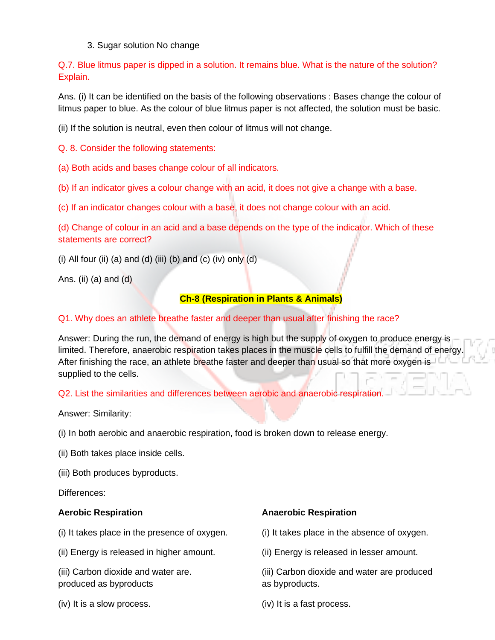#### 3. Sugar solution No change

Q.7. Blue litmus paper is dipped in a solution. It remains blue. What is the nature of the solution? Explain.

Ans. (i) It can be identified on the basis of the following observations : Bases change the colour of litmus paper to blue. As the colour of blue litmus paper is not affected, the solution must be basic.

(ii) If the solution is neutral, even then colour of litmus will not change.

Q. 8. Consider the following statements:

(a) Both acids and bases change colour of all indicators.

(b) If an indicator gives a colour change with an acid, it does not give a change with a base.

(c) If an indicator changes colour with a base, it does not change colour with an acid.

(d) Change of colour in an acid and a base depends on the type of the indicator. Which of these statements are correct?

(i) All four (ii) (a) and (d) (iii) (b) and (c) (iv) only (d)

Ans. (ii) (a) and  $(d)$ 

#### **Ch-8 (Respiration in Plants & Animals)**

#### Q1. Why does an athlete breathe faster and deeper than usual after finishing the race?

Answer: During the run, the demand of energy is high but the supply of oxygen to produce energy is limited. Therefore, anaerobic respiration takes places in the muscle cells to fulfill the demand of energy. After finishing the race, an athlete breathe faster and deeper than usual so that more oxygen is supplied to the cells.

Q2. List the similarities and differences between aerobic and anaerobic respiration.

Answer: Similarity:

(i) In both aerobic and anaerobic respiration, food is broken down to release energy.

(ii) Both takes place inside cells.

(iii) Both produces byproducts.

Differences:

(i) It takes place in the presence of oxygen. (i) It takes place in the absence of oxygen.

(ii) Energy is released in higher amount. (ii) Energy is released in lesser amount.

produced as byproducts as  $\blacksquare$ 

(iv) It is a slow process. (iv) It is a fast process.

#### **Aerobic Respiration Anaerobic Respiration**

(iii) Carbon dioxide and water are. (iii) Carbon dioxide and water are produced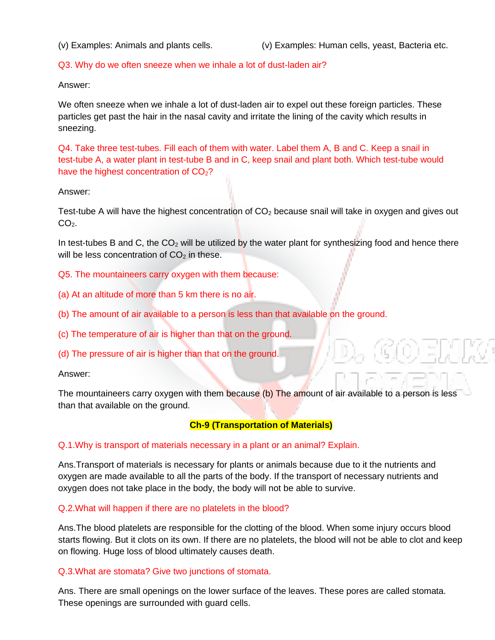(v) Examples: Animals and plants cells. (v) Examples: Human cells, yeast, Bacteria etc.

#### Q3. Why do we often sneeze when we inhale a lot of dust-laden air?

Answer:

We often sneeze when we inhale a lot of dust-laden air to expel out these foreign particles. These particles get past the hair in the nasal cavity and irritate the lining of the cavity which results in sneezing.

Q4. Take three test-tubes. Fill each of them with water. Label them A, B and C. Keep a snail in test-tube A, a water plant in test-tube B and in C, keep snail and plant both. Which test-tube would have the highest concentration of  $CO<sub>2</sub>$ ?

#### Answer:

Test-tube A will have the highest concentration of  $CO<sub>2</sub>$  because snail will take in oxygen and gives out  $CO<sub>2</sub>$ .

In test-tubes B and C, the  $CO<sub>2</sub>$  will be utilized by the water plant for synthesizing food and hence there will be less concentration of  $CO<sub>2</sub>$  in these.

Q5. The mountaineers carry oxygen with them because:

- (a) At an altitude of more than 5 km there is no air.
- (b) The amount of air available to a person is less than that available on the ground.

(c) The temperature of air is higher than that on the ground.

(d) The pressure of air is higher than that on the ground.

Answer:

The mountaineers carry oxygen with them because (b) The amount of air available to a person is less than that available on the ground.

#### **Ch-9 (Transportation of Materials)**

Q.1.Why is transport of materials necessary in a plant or an animal? Explain.

Ans.Transport of materials is necessary for plants or animals because due to it the nutrients and oxygen are made available to all the parts of the body. If the transport of necessary nutrients and oxygen does not take place in the body, the body will not be able to survive.

#### Q.2.What will happen if there are no platelets in the blood?

Ans.The blood platelets are responsible for the clotting of the blood. When some injury occurs blood starts flowing. But it clots on its own. If there are no platelets, the blood will not be able to clot and keep on flowing. Huge loss of blood ultimately causes death.

#### Q.3.What are stomata? Give two junctions of stomata.

Ans. There are small openings on the lower surface of the leaves. These pores are called stomata. These openings are surrounded with guard cells.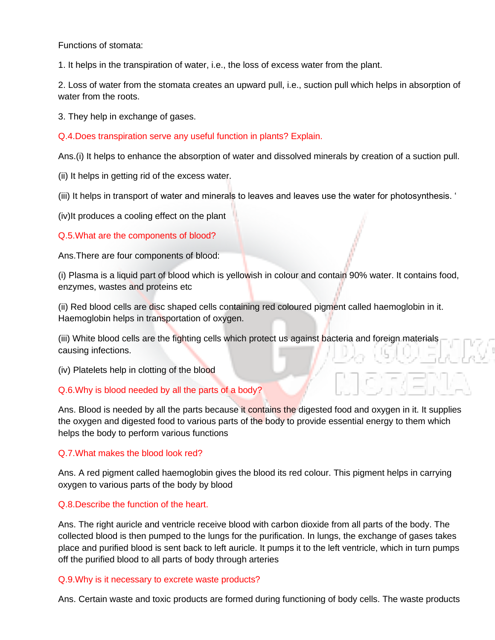Functions of stomata:

1. It helps in the transpiration of water, i.e., the loss of excess water from the plant.

2. Loss of water from the stomata creates an upward pull, i.e., suction pull which helps in absorption of water from the roots.

3. They help in exchange of gases.

Q.4.Does transpiration serve any useful function in plants? Explain.

Ans.(i) It helps to enhance the absorption of water and dissolved minerals by creation of a suction pull.

(ii) It helps in getting rid of the excess water.

(iii) It helps in transport of water and minerals to leaves and leaves use the water for photosynthesis. '

(iv)It produces a cooling effect on the plant

#### Q.5.What are the components of blood?

Ans.There are four components of blood:

(i) Plasma is a liquid part of blood which is yellowish in colour and contain 90% water. It contains food, enzymes, wastes and proteins etc

(ii) Red blood cells are disc shaped cells containing red coloured pigment called haemoglobin in it. Haemoglobin helps in transportation of oxygen.

(iii) White blood cells are the fighting cells which protect us against bacteria and foreign materials causing infections.

(iv) Platelets help in clotting of the blood

#### Q.6.Why is blood needed by all the parts of a body?

Ans. Blood is needed by all the parts because it contains the digested food and oxygen in it. It supplies the oxygen and digested food to various parts of the body to provide essential energy to them which helps the body to perform various functions

#### Q.7.What makes the blood look red?

Ans. A red pigment called haemoglobin gives the blood its red colour. This pigment helps in carrying oxygen to various parts of the body by blood

#### Q.8.Describe the function of the heart.

Ans. The right auricle and ventricle receive blood with carbon dioxide from all parts of the body. The collected blood is then pumped to the lungs for the purification. In lungs, the exchange of gases takes place and purified blood is sent back to left auricle. It pumps it to the left ventricle, which in turn pumps off the purified blood to all parts of body through arteries

#### Q.9.Why is it necessary to excrete waste products?

Ans. Certain waste and toxic products are formed during functioning of body cells. The waste products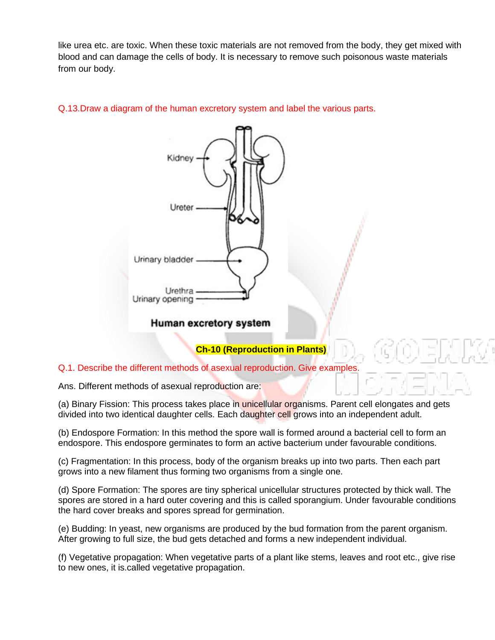like urea etc. are toxic. When these toxic materials are not removed from the body, they get mixed with blood and can damage the cells of body. It is necessary to remove such poisonous waste materials from our body.

#### Q.13.Draw a diagram of the human excretory system and label the various parts.



#### Human excretory system

## **Ch-10 (Reproduction in Plants)**

#### Q.1. Describe the different methods of asexual reproduction. Give examples.

Ans. Different methods of asexual reproduction are:

(a) Binary Fission: This process takes place in unicellular organisms. Parent cell elongates and gets divided into two identical daughter cells. Each daughter cell grows into an independent adult.

(b) Endospore Formation: In this method the spore wall is formed around a bacterial cell to form an endospore. This endospore germinates to form an active bacterium under favourable conditions.

(c) Fragmentation: In this process, body of the organism breaks up into two parts. Then each part grows into a new filament thus forming two organisms from a single one.

(d) Spore Formation: The spores are tiny spherical unicellular structures protected by thick wall. The spores are stored in a hard outer covering and this is called sporangium. Under favourable conditions the hard cover breaks and spores spread for germination.

(e) Budding: In yeast, new organisms are produced by the bud formation from the parent organism. After growing to full size, the bud gets detached and forms a new independent individual.

(f) Vegetative propagation: When vegetative parts of a plant like stems, leaves and root etc., give rise to new ones, it is.called vegetative propagation.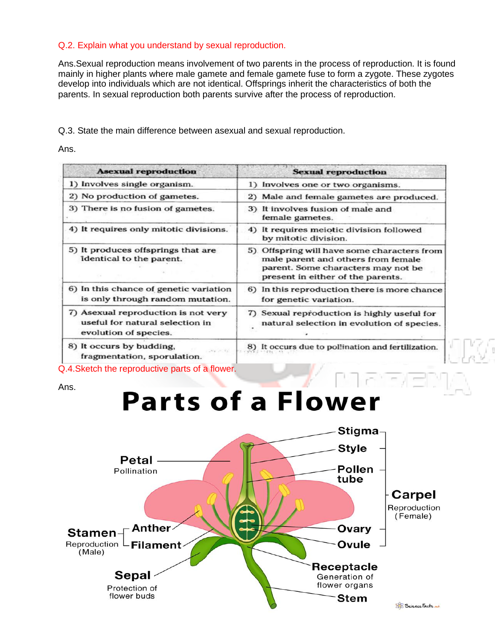#### Q.2. Explain what you understand by sexual reproduction.

Ans.Sexual reproduction means involvement of two parents in the process of reproduction. It is found mainly in higher plants where male gamete and female gamete fuse to form a zygote. These zygotes develop into individuals which are not identical. Offsprings inherit the characteristics of both the parents. In sexual reproduction both parents survive after the process of reproduction.

Q.3. State the main difference between asexual and sexual reproduction.

Ans.

| <b>Asexual reproduction</b>                                                                     | <b>Sexual reproduction</b>                                                                                                                                   |
|-------------------------------------------------------------------------------------------------|--------------------------------------------------------------------------------------------------------------------------------------------------------------|
| 1) Involves single organism.                                                                    | 1) Involves one or two organisms.                                                                                                                            |
| 2) No production of gametes.                                                                    | 2) Male and female gametes are produced.                                                                                                                     |
| 3) There is no fusion of gametes.                                                               | 3) It involves fusion of male and<br>female gametes.                                                                                                         |
| 4) It requires only mitotic divisions.                                                          | 4) It requires meiotic division followed<br>by mitotic division.                                                                                             |
| 5) It produces offsprings that are<br>identical to the parent.                                  | 5) Offspring will have some characters from<br>male parent and others from female<br>parent. Some characters may not be<br>present in either of the parents. |
| 6) In this chance of genetic variation<br>is only through random mutation.                      | 6) In this reproduction there is more chance<br>for genetic variation.                                                                                       |
| 7) Asexual reproduction is not very<br>useful for natural selection in<br>evolution of species. | Sexual reproduction is highly useful for<br>$\mathcal{D}$<br>natural selection in evolution of species.                                                      |
| 8) It occurs by budding,<br>$24 - 24$<br>fragmentation, sporulation.                            | It occurs due to pollination and fertilization.                                                                                                              |

Q.4.Sketch the reproductive parts of a flower.

Ans.

# **Parts of a Flower**